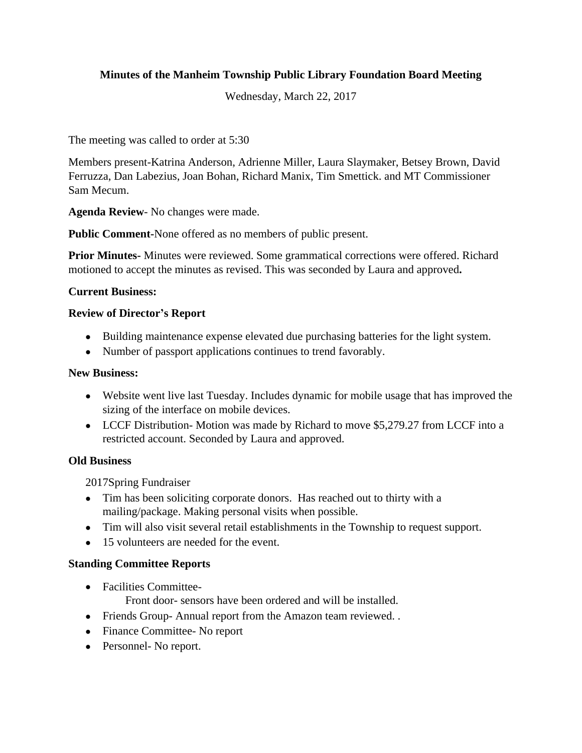# **Minutes of the Manheim Township Public Library Foundation Board Meeting**

Wednesday, March 22, 2017

The meeting was called to order at 5:30

Members present-Katrina Anderson, Adrienne Miller, Laura Slaymaker, Betsey Brown, David Ferruzza, Dan Labezius, Joan Bohan, Richard Manix, Tim Smettick. and MT Commissioner Sam Mecum.

**Agenda Review**- No changes were made.

**Public Comment-**None offered as no members of public present.

**Prior Minutes-** Minutes were reviewed. Some grammatical corrections were offered. Richard motioned to accept the minutes as revised. This was seconded by Laura and approved**.**

#### **Current Business:**

#### **Review of Director's Report**

- Building maintenance expense elevated due purchasing batteries for the light system.
- Number of passport applications continues to trend favorably.

#### **New Business:**

- Website went live last Tuesday. Includes dynamic for mobile usage that has improved the sizing of the interface on mobile devices.
- LCCF Distribution- Motion was made by Richard to move \$5,279.27 from LCCF into a restricted account. Seconded by Laura and approved.

## **Old Business**

2017Spring Fundraiser

- Tim has been soliciting corporate donors. Has reached out to thirty with a mailing/package. Making personal visits when possible.
- Tim will also visit several retail establishments in the Township to request support.
- 15 volunteers are needed for the event.

## **Standing Committee Reports**

Facilities Committee-

Front door- sensors have been ordered and will be installed.

- Friends Group- Annual report from the Amazon team reviewed. .
- Finance Committee- No report
- Personnel- No report.